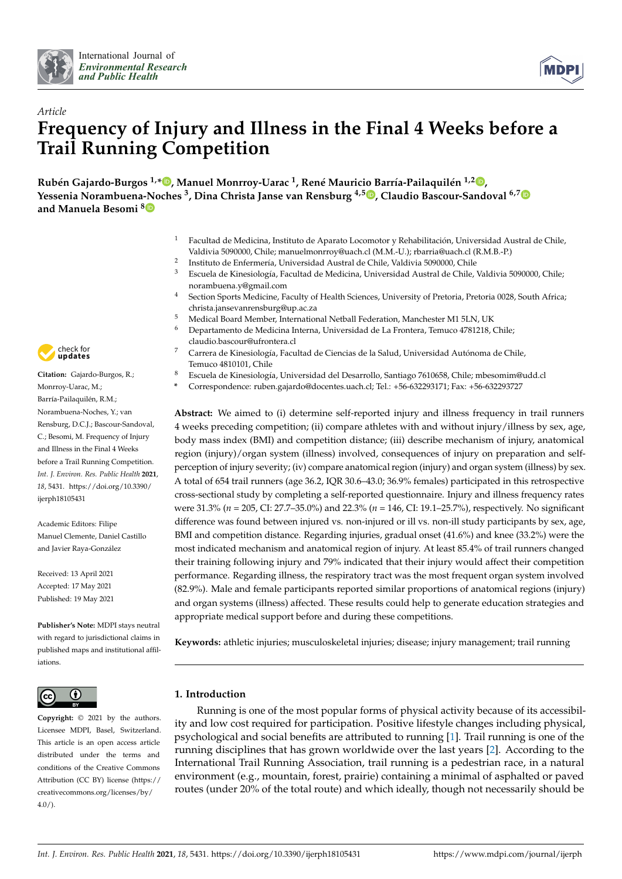



# *Article* **Frequency of Injury and Illness in the Final 4 Weeks before a Trail Running Competition**

**Rubén Gajardo-Burgos 1,[\\*](https://orcid.org/0000-0002-4515-2492) , Manuel Monrroy-Uarac <sup>1</sup> , René Mauricio Barría-Pailaquilén 1,2 [,](https://orcid.org/0000-0002-3764-5254) Yessenia Norambuena-Noches <sup>3</sup> , Dina Christa Janse van Rensburg 4,[5](https://orcid.org/0000-0003-1058-6992) , Claudio Bascour-Sandoval 6,[7](https://orcid.org/0000-0002-6250-8518) and Manuela Besomi [8](https://orcid.org/0000-0001-8880-4561)**

- <sup>1</sup> Facultad de Medicina, Instituto de Aparato Locomotor y Rehabilitación, Universidad Austral de Chile, Valdivia 5090000, Chile; manuelmonrroy@uach.cl (M.M.-U.); rbarria@uach.cl (R.M.B.-P.)
- $\overline{2}$ Instituto de Enfermería, Universidad Austral de Chile, Valdivia 5090000, Chile
- <sup>3</sup> Escuela de Kinesiología, Facultad de Medicina, Universidad Austral de Chile, Valdivia 5090000, Chile; norambuena.y@gmail.com
- <sup>4</sup> Section Sports Medicine, Faculty of Health Sciences, University of Pretoria, Pretoria 0028, South Africa; christa.jansevanrensburg@up.ac.za
- <sup>5</sup> Medical Board Member, International Netball Federation, Manchester M1 5LN, UK<br><sup>6</sup> Departments de Madisius International Madisius International Tennis (791318, 6
- <sup>6</sup> Departamento de Medicina Interna, Universidad de La Frontera, Temuco 4781218, Chile; claudio.bascour@ufrontera.cl
- <sup>7</sup> Carrera de Kinesiología, Facultad de Ciencias de la Salud, Universidad Autónoma de Chile, Temuco 4810101, Chile
- <sup>8</sup> Escuela de Kinesiología, Universidad del Desarrollo, Santiago 7610658, Chile; mbesomim@udd.cl
- **\*** Correspondence: ruben.gajardo@docentes.uach.cl; Tel.: +56-632293171; Fax: +56-632293727

**Abstract:** We aimed to (i) determine self-reported injury and illness frequency in trail runners 4 weeks preceding competition; (ii) compare athletes with and without injury/illness by sex, age, body mass index (BMI) and competition distance; (iii) describe mechanism of injury, anatomical region (injury)/organ system (illness) involved, consequences of injury on preparation and selfperception of injury severity; (iv) compare anatomical region (injury) and organ system (illness) by sex. A total of 654 trail runners (age 36.2, IQR 30.6–43.0; 36.9% females) participated in this retrospective cross-sectional study by completing a self-reported questionnaire. Injury and illness frequency rates were 31.3% (*n* = 205, CI: 27.7–35.0%) and 22.3% (*n* = 146, CI: 19.1–25.7%), respectively. No significant difference was found between injured vs. non-injured or ill vs. non-ill study participants by sex, age, BMI and competition distance. Regarding injuries, gradual onset (41.6%) and knee (33.2%) were the most indicated mechanism and anatomical region of injury. At least 85.4% of trail runners changed their training following injury and 79% indicated that their injury would affect their competition performance. Regarding illness, the respiratory tract was the most frequent organ system involved (82.9%). Male and female participants reported similar proportions of anatomical regions (injury) and organ systems (illness) affected. These results could help to generate education strategies and appropriate medical support before and during these competitions.

**Keywords:** athletic injuries; musculoskeletal injuries; disease; injury management; trail running

## **1. Introduction**

Running is one of the most popular forms of physical activity because of its accessibility and low cost required for participation. Positive lifestyle changes including physical, psychological and social benefits are attributed to running [\[1\]](#page-8-0). Trail running is one of the running disciplines that has grown worldwide over the last years [\[2\]](#page-8-1). According to the International Trail Running Association, trail running is a pedestrian race, in a natural environment (e.g., mountain, forest, prairie) containing a minimal of asphalted or paved routes (under 20% of the total route) and which ideally, though not necessarily should be



**Citation:** Gajardo-Burgos, R.; Monrroy-Uarac, M.; Barría-Pailaquilén, R.M.; Norambuena-Noches, Y.; van Rensburg, D.C.J.; Bascour-Sandoval, C.; Besomi, M. Frequency of Injury and Illness in the Final 4 Weeks before a Trail Running Competition. *Int. J. Environ. Res. Public Health* **2021**, *18*, 5431. [https://doi.org/10.3390/](https://doi.org/10.3390/ijerph18105431) [ijerph18105431](https://doi.org/10.3390/ijerph18105431)

Academic Editors: Filipe Manuel Clemente, Daniel Castillo and Javier Raya-González

Received: 13 April 2021 Accepted: 17 May 2021 Published: 19 May 2021

**Publisher's Note:** MDPI stays neutral with regard to jurisdictional claims in published maps and institutional affiliations.



**Copyright:** © 2021 by the authors. Licensee MDPI, Basel, Switzerland. This article is an open access article distributed under the terms and conditions of the Creative Commons Attribution (CC BY) license (https:/[/](https://creativecommons.org/licenses/by/4.0/) [creativecommons.org/licenses/by/](https://creativecommons.org/licenses/by/4.0/)  $4.0/$ ).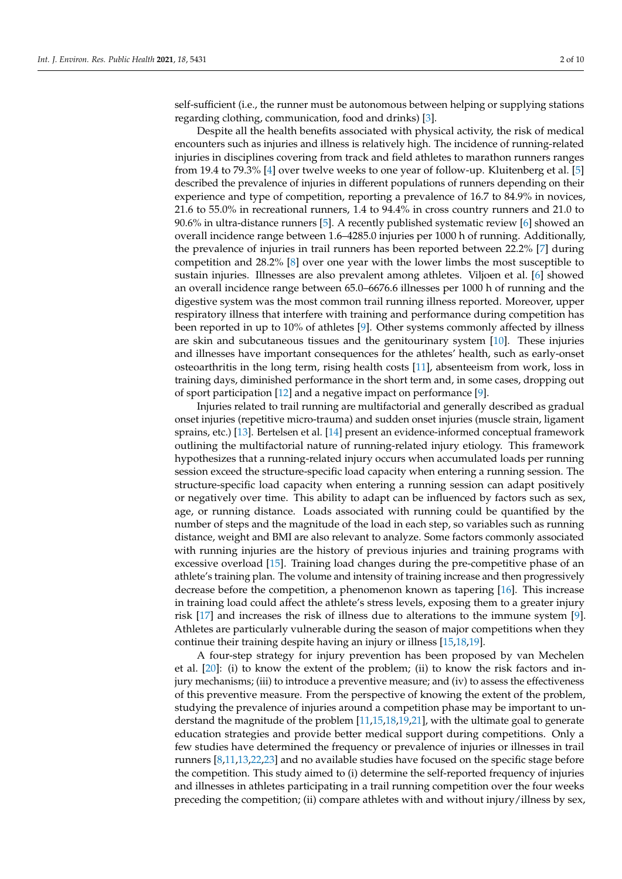self-sufficient (i.e., the runner must be autonomous between helping or supplying stations regarding clothing, communication, food and drinks) [\[3\]](#page-8-2).

Despite all the health benefits associated with physical activity, the risk of medical encounters such as injuries and illness is relatively high. The incidence of running-related injuries in disciplines covering from track and field athletes to marathon runners ranges from 19.4 to 79.3% [\[4\]](#page-8-3) over twelve weeks to one year of follow-up. Kluitenberg et al. [\[5\]](#page-8-4) described the prevalence of injuries in different populations of runners depending on their experience and type of competition, reporting a prevalence of 16.7 to 84.9% in novices, 21.6 to 55.0% in recreational runners, 1.4 to 94.4% in cross country runners and 21.0 to 90.6% in ultra-distance runners [\[5\]](#page-8-4). A recently published systematic review [\[6\]](#page-8-5) showed an overall incidence range between 1.6–4285.0 injuries per 1000 h of running. Additionally, the prevalence of injuries in trail runners has been reported between 22.2% [\[7\]](#page-8-6) during competition and 28.2% [\[8\]](#page-8-7) over one year with the lower limbs the most susceptible to sustain injuries. Illnesses are also prevalent among athletes. Viljoen et al. [\[6\]](#page-8-5) showed an overall incidence range between 65.0–6676.6 illnesses per 1000 h of running and the digestive system was the most common trail running illness reported. Moreover, upper respiratory illness that interfere with training and performance during competition has been reported in up to 10% of athletes [\[9\]](#page-8-8). Other systems commonly affected by illness are skin and subcutaneous tissues and the genitourinary system [\[10\]](#page-8-9). These injuries and illnesses have important consequences for the athletes' health, such as early-onset osteoarthritis in the long term, rising health costs [\[11\]](#page-8-10), absenteeism from work, loss in training days, diminished performance in the short term and, in some cases, dropping out of sport participation [\[12\]](#page-8-11) and a negative impact on performance [\[9\]](#page-8-8).

Injuries related to trail running are multifactorial and generally described as gradual onset injuries (repetitive micro-trauma) and sudden onset injuries (muscle strain, ligament sprains, etc.) [\[13\]](#page-8-12). Bertelsen et al. [\[14\]](#page-8-13) present an evidence-informed conceptual framework outlining the multifactorial nature of running-related injury etiology. This framework hypothesizes that a running-related injury occurs when accumulated loads per running session exceed the structure-specific load capacity when entering a running session. The structure-specific load capacity when entering a running session can adapt positively or negatively over time. This ability to adapt can be influenced by factors such as sex, age, or running distance. Loads associated with running could be quantified by the number of steps and the magnitude of the load in each step, so variables such as running distance, weight and BMI are also relevant to analyze. Some factors commonly associated with running injuries are the history of previous injuries and training programs with excessive overload [\[15\]](#page-8-14). Training load changes during the pre-competitive phase of an athlete's training plan. The volume and intensity of training increase and then progressively decrease before the competition, a phenomenon known as tapering [\[16\]](#page-8-15). This increase in training load could affect the athlete's stress levels, exposing them to a greater injury risk [\[17\]](#page-8-16) and increases the risk of illness due to alterations to the immune system [\[9\]](#page-8-8). Athletes are particularly vulnerable during the season of major competitions when they continue their training despite having an injury or illness [\[15,](#page-8-14)[18,](#page-8-17)[19\]](#page-8-18).

A four-step strategy for injury prevention has been proposed by van Mechelen et al. [\[20\]](#page-8-19): (i) to know the extent of the problem; (ii) to know the risk factors and injury mechanisms; (iii) to introduce a preventive measure; and (iv) to assess the effectiveness of this preventive measure. From the perspective of knowing the extent of the problem, studying the prevalence of injuries around a competition phase may be important to understand the magnitude of the problem [\[11](#page-8-10)[,15,](#page-8-14)[18,](#page-8-17)[19,](#page-8-18)[21\]](#page-8-20), with the ultimate goal to generate education strategies and provide better medical support during competitions. Only a few studies have determined the frequency or prevalence of injuries or illnesses in trail runners [\[8](#page-8-7)[,11](#page-8-10)[,13](#page-8-12)[,22](#page-8-21)[,23\]](#page-9-0) and no available studies have focused on the specific stage before the competition. This study aimed to (i) determine the self-reported frequency of injuries and illnesses in athletes participating in a trail running competition over the four weeks preceding the competition; (ii) compare athletes with and without injury/illness by sex,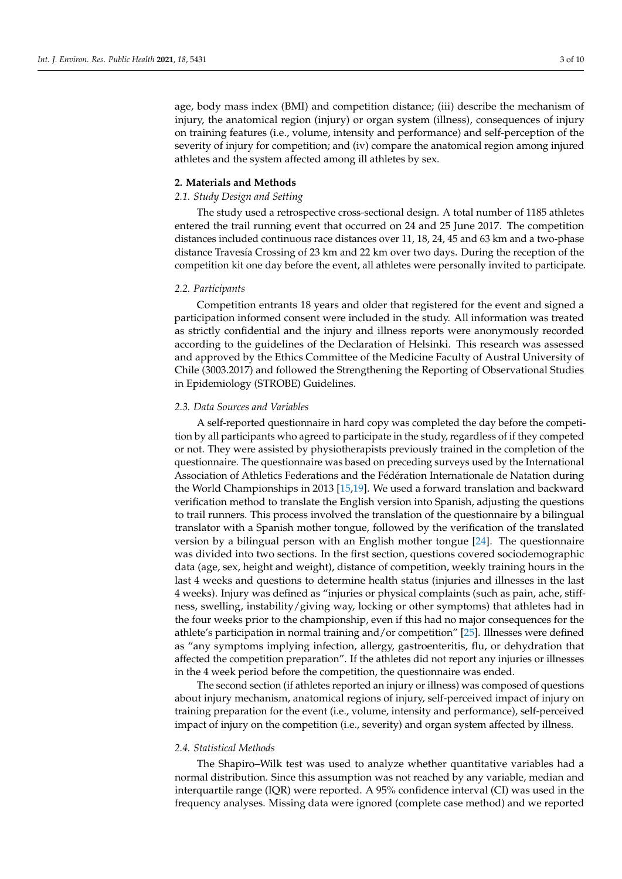age, body mass index (BMI) and competition distance; (iii) describe the mechanism of injury, the anatomical region (injury) or organ system (illness), consequences of injury on training features (i.e., volume, intensity and performance) and self-perception of the severity of injury for competition; and (iv) compare the anatomical region among injured athletes and the system affected among ill athletes by sex.

#### **2. Materials and Methods**

### *2.1. Study Design and Setting*

The study used a retrospective cross-sectional design. A total number of 1185 athletes entered the trail running event that occurred on 24 and 25 June 2017. The competition distances included continuous race distances over 11, 18, 24, 45 and 63 km and a two-phase distance Travesía Crossing of 23 km and 22 km over two days. During the reception of the competition kit one day before the event, all athletes were personally invited to participate.

#### *2.2. Participants*

Competition entrants 18 years and older that registered for the event and signed a participation informed consent were included in the study. All information was treated as strictly confidential and the injury and illness reports were anonymously recorded according to the guidelines of the Declaration of Helsinki. This research was assessed and approved by the Ethics Committee of the Medicine Faculty of Austral University of Chile (3003.2017) and followed the Strengthening the Reporting of Observational Studies in Epidemiology (STROBE) Guidelines.

#### *2.3. Data Sources and Variables*

A self-reported questionnaire in hard copy was completed the day before the competition by all participants who agreed to participate in the study, regardless of if they competed or not. They were assisted by physiotherapists previously trained in the completion of the questionnaire. The questionnaire was based on preceding surveys used by the International Association of Athletics Federations and the Fédération Internationale de Natation during the World Championships in 2013 [\[15,](#page-8-14)[19\]](#page-8-18). We used a forward translation and backward verification method to translate the English version into Spanish, adjusting the questions to trail runners. This process involved the translation of the questionnaire by a bilingual translator with a Spanish mother tongue, followed by the verification of the translated version by a bilingual person with an English mother tongue [\[24\]](#page-9-1). The questionnaire was divided into two sections. In the first section, questions covered sociodemographic data (age, sex, height and weight), distance of competition, weekly training hours in the last 4 weeks and questions to determine health status (injuries and illnesses in the last 4 weeks). Injury was defined as "injuries or physical complaints (such as pain, ache, stiffness, swelling, instability/giving way, locking or other symptoms) that athletes had in the four weeks prior to the championship, even if this had no major consequences for the athlete's participation in normal training and/or competition" [\[25\]](#page-9-2). Illnesses were defined as "any symptoms implying infection, allergy, gastroenteritis, flu, or dehydration that affected the competition preparation". If the athletes did not report any injuries or illnesses in the 4 week period before the competition, the questionnaire was ended.

The second section (if athletes reported an injury or illness) was composed of questions about injury mechanism, anatomical regions of injury, self-perceived impact of injury on training preparation for the event (i.e., volume, intensity and performance), self-perceived impact of injury on the competition (i.e., severity) and organ system affected by illness.

## *2.4. Statistical Methods*

The Shapiro–Wilk test was used to analyze whether quantitative variables had a normal distribution. Since this assumption was not reached by any variable, median and interquartile range (IQR) were reported. A 95% confidence interval (CI) was used in the frequency analyses. Missing data were ignored (complete case method) and we reported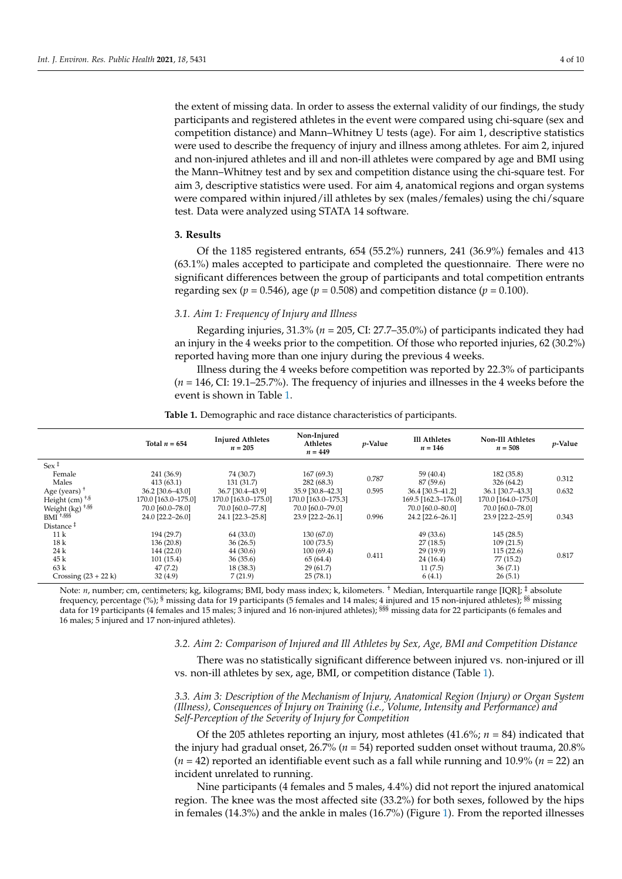the extent of missing data. In order to assess the external validity of our findings, the study participants and registered athletes in the event were compared using chi-square (sex and competition distance) and Mann–Whitney U tests (age). For aim 1, descriptive statistics were used to describe the frequency of injury and illness among athletes. For aim 2, injured and non-injured athletes and ill and non-ill athletes were compared by age and BMI using the Mann–Whitney test and by sex and competition distance using the chi-square test. For aim 3, descriptive statistics were used. For aim 4, anatomical regions and organ systems were compared within injured/ill athletes by sex (males/females) using the chi/square test. Data were analyzed using STATA 14 software.

## **3. Results**

Of the 1185 registered entrants, 654 (55.2%) runners, 241 (36.9%) females and 413 (63.1%) males accepted to participate and completed the questionnaire. There were no significant differences between the group of participants and total competition entrants regarding sex ( $p = 0.546$ ), age ( $p = 0.508$ ) and competition distance ( $p = 0.100$ ).

## *3.1. Aim 1: Frequency of Injury and Illness*

Regarding injuries, 31.3% (*n* = 205, CI: 27.7–35.0%) of participants indicated they had an injury in the 4 weeks prior to the competition. Of those who reported injuries, 62 (30.2%) reported having more than one injury during the previous 4 weeks.

Illness during the 4 weeks before competition was reported by 22.3% of participants (*n* = 146, CI: 19.1–25.7%). The frequency of injuries and illnesses in the 4 weeks before the event is shown in Table [1.](#page-3-0)

<span id="page-3-0"></span>

|                               | Total $n = 654$         | <b>Injured Athletes</b><br>$n = 205$ | Non-Injured<br>Athletes<br>$n = 449$ | <i>p</i> -Value | <b>Ill Athletes</b><br>$n = 146$ | <b>Non-Ill Athletes</b><br>$n = 508$ | $p$ -Value |
|-------------------------------|-------------------------|--------------------------------------|--------------------------------------|-----------------|----------------------------------|--------------------------------------|------------|
| Sex $\ddagger$                |                         |                                      |                                      |                 |                                  |                                      |            |
| Female<br>Males               | 241 (36.9)<br>413(63.1) | 74 (30.7)<br>131 (31.7)              | 167(69.3)<br>282 (68.3)              | 0.787           | 59 (40.4)<br>87 (59.6)           | 182 (35.8)<br>326 (64.2)             | 0.312      |
| Age (years) $+$               | 36.2 [30.6-43.0]        | 36.7 [30.4-43.9]                     | 35.9 [30.8-42.3]                     | 0.595           | 36.4 [30.5-41.2]                 | 36.1 [30.7-43.3]                     | 0.632      |
| Height (cm) $+8$              | 170.0 [163.0-175.0]     | 170.0 [163.0-175.0]                  | 170.0 [163.0-175.3]                  |                 | 169.5 [162.3-176.0]              | 170.0 [164.0-175.0]                  |            |
| Weight $(kg)$ <sup>+,§§</sup> | 70.0 [60.0-78.0]        | 70.0 [60.0-77.8]                     | 70.0 [60.0-79.0]                     |                 | 70.0 [60.0-80.0]                 | 70.0 [60.0-78.0]                     |            |
| $BMI$ <sup>+,§§§</sup>        | 24.0 [22.2-26.0]        | 24.1 [22.3-25.8]                     | 23.9 [22.2-26.1]                     | 0.996           | 24.2 [22.6-26.1]                 | 23.9 [22.2-25.9]                     | 0.343      |
| Distance $†$                  |                         |                                      |                                      |                 |                                  |                                      |            |
| 11k                           | 194 (29.7)              | 64 (33.0)                            | 130 (67.0)                           | 0.411           | 49 (33.6)                        | 145(28.5)                            | 0.817      |
| 18k                           | 136 (20.8)              | 36(26.5)                             | 100(73.5)                            |                 | 27(18.5)                         | 109(21.5)                            |            |
| 24k                           | 144 (22.0)              | 44 (30.6)                            | 100(69.4)                            |                 | 29 (19.9)                        | 115(22.6)                            |            |
| 45 k                          | 101(15.4)               | 36(35.6)                             | 65 (64.4)                            |                 | 24 (16.4)                        | 77(15.2)                             |            |
| 63k                           | 47(7.2)                 | 18(38.3)                             | 29(61.7)                             |                 | 11(7.5)                          | 36(7.1)                              |            |
| Crossing $(23 + 22k)$         | 32(4.9)                 | 7(21.9)                              | 25(78.1)                             |                 | 6(4.1)                           | 26(5.1)                              |            |

**Table 1.** Demographic and race distance characteristics of participants.

Note: *n*, number; cm, centimeters; kg, kilograms; BMI, body mass index; k, kilometers. † Median, Interquartile range [IQR]; ‡ absolute frequency, percentage (%); § missing data for 19 participants (5 females and 14 males; 4 injured and 15 non-injured athletes); §§ missing data for 19 participants (4 females and 15 males; 3 injured and 16 non-injured athletes); <sup>§§§</sup> missing data for 22 participants (6 females and 16 males; 5 injured and 17 non-injured athletes).

## *3.2. Aim 2: Comparison of Injured and Ill Athletes by Sex, Age, BMI and Competition Distance*

There was no statistically significant difference between injured vs. non-injured or ill vs. non-ill athletes by sex, age, BMI, or competition distance (Table [1\)](#page-3-0).

### *3.3. Aim 3: Description of the Mechanism of Injury, Anatomical Region (Injury) or Organ System (Illness), Consequences of Injury on Training (i.e., Volume, Intensity and Performance) and Self-Perception of the Severity of Injury for Competition*

Of the 205 athletes reporting an injury, most athletes (41.6%; *n* = 84) indicated that the injury had gradual onset, 26.7% (*n* = 54) reported sudden onset without trauma, 20.8%  $(n = 42)$  reported an identifiable event such as a fall while running and 10.9%  $(n = 22)$  an incident unrelated to running.

Nine participants (4 females and 5 males, 4.4%) did not report the injured anatomical region. The knee was the most affected site (33.2%) for both sexes, followed by the hips in females (14.3%) and the ankle in males (16.7%) (Figure [1\)](#page-4-0). From the reported illnesses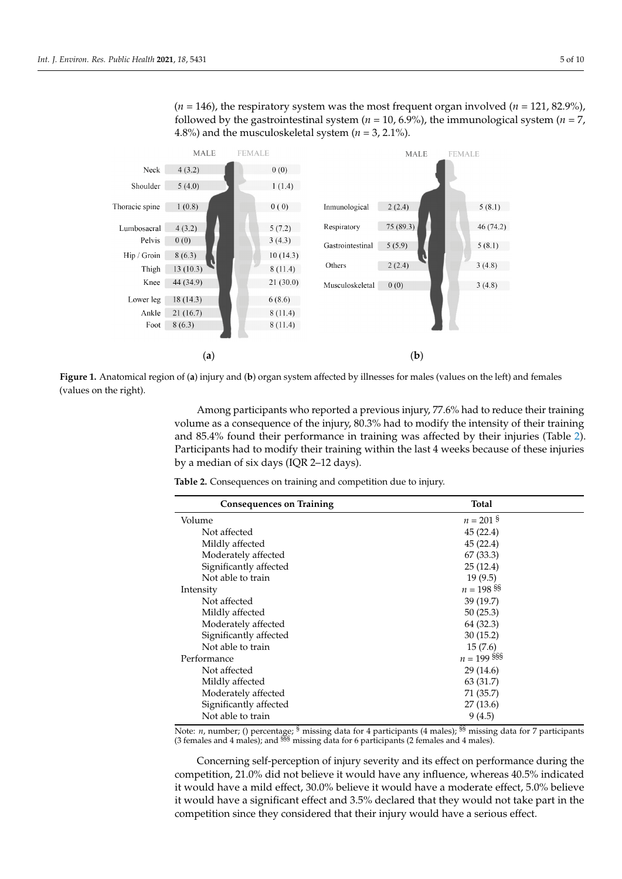$(n = 146)$ , the respiratory system was the most frequent organ involved  $(n = 121, 82.9\%)$ followed by the gastrointestinal system ( $n = 10, 6.9\%$ ), the immunological system ( $n = 7$ , 4.8%) and the musculoskeletal system  $(n = 3, 2.1\%)$ .

<span id="page-4-0"></span>

Figure 1. Anatomical region of (a) injury and (b) organ system affected by illnesses for males (values on the left) and females (values on the right).

Among participants who reported a previous injury, 77.6% had to reduce their training volume as a consequence of the injury, 80.3% had to modify the intensity of their training ing and 85.4% found their performance in training was affected by their injuries (Table 2). and 85.4% found their performance in training was affected by their injuries (Table [2\)](#page-4-1). Participants had to modify their training within the last 4 weeks because of these injuries Participants had to modify their training within the last 4 weeks because of these injuries by a median of six days (IQR 2–12 days). by a median of six days (IQR 2–12 days).

<span id="page-4-1"></span>**Table 2.** Consequences on training and competition due to injury. **Table 2.** Consequences on training and competition due to injury.

| <b>Total</b>  |
|---------------|
| $n = 201$ s   |
| 45(22.4)      |
| 45(22.4)      |
| 67 (33.3)     |
| 25(12.4)      |
| 19(9.5)       |
| $n = 198$ SS  |
| 39(19.7)      |
| 50(25.3)      |
| 64 (32.3)     |
| 30(15.2)      |
| 15(7.6)       |
| $n = 199$ SSS |
| 29(14.6)      |
| 63 (31.7)     |
| 71 (35.7)     |
| 27(13.6)      |
| 9(4.5)        |
|               |

Note: *n*, number; () percentage; § missing data for 4 participants (4 males); <sup>§§</sup> missing data for 7 participants (3 females and 4 males); and §§§ missing data for 6 participants (2 females and 4 males).

Concerning self-perception of injury severity and its effect on performance during the competition, 21.0% did not believe it would have any influence, whereas 40.5% indicated it would have a mild effect, 30.0% believe it would have a moderate effect, 5.0% believe it would have a significant effect and 3.5% declared that they would not take part in the competition since they considered that their injury would have a serious effect.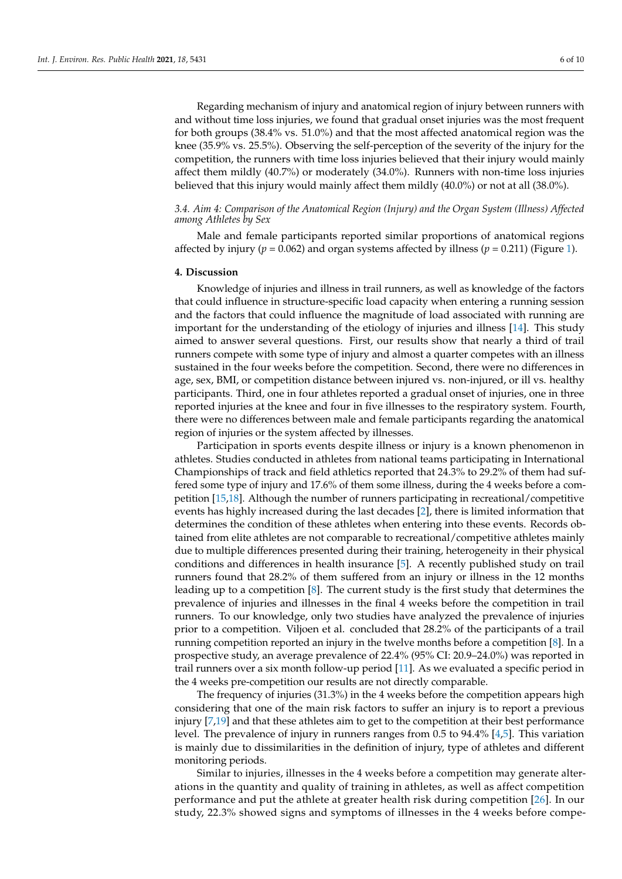Regarding mechanism of injury and anatomical region of injury between runners with and without time loss injuries, we found that gradual onset injuries was the most frequent for both groups (38.4% vs. 51.0%) and that the most affected anatomical region was the knee (35.9% vs. 25.5%). Observing the self-perception of the severity of the injury for the competition, the runners with time loss injuries believed that their injury would mainly affect them mildly (40.7%) or moderately (34.0%). Runners with non-time loss injuries believed that this injury would mainly affect them mildly (40.0%) or not at all (38.0%).

## *3.4. Aim 4: Comparison of the Anatomical Region (Injury) and the Organ System (Illness) Affected among Athletes by Sex*

Male and female participants reported similar proportions of anatomical regions affected by injury ( $p = 0.062$ ) and organ systems affected by illness ( $p = 0.211$ ) (Figure [1\)](#page-4-0).

## **4. Discussion**

Knowledge of injuries and illness in trail runners, as well as knowledge of the factors that could influence in structure-specific load capacity when entering a running session and the factors that could influence the magnitude of load associated with running are important for the understanding of the etiology of injuries and illness [\[14\]](#page-8-13). This study aimed to answer several questions. First, our results show that nearly a third of trail runners compete with some type of injury and almost a quarter competes with an illness sustained in the four weeks before the competition. Second, there were no differences in age, sex, BMI, or competition distance between injured vs. non-injured, or ill vs. healthy participants. Third, one in four athletes reported a gradual onset of injuries, one in three reported injuries at the knee and four in five illnesses to the respiratory system. Fourth, there were no differences between male and female participants regarding the anatomical region of injuries or the system affected by illnesses.

Participation in sports events despite illness or injury is a known phenomenon in athletes. Studies conducted in athletes from national teams participating in International Championships of track and field athletics reported that 24.3% to 29.2% of them had suffered some type of injury and 17.6% of them some illness, during the 4 weeks before a competition [\[15](#page-8-14)[,18\]](#page-8-17). Although the number of runners participating in recreational/competitive events has highly increased during the last decades [\[2\]](#page-8-1), there is limited information that determines the condition of these athletes when entering into these events. Records obtained from elite athletes are not comparable to recreational/competitive athletes mainly due to multiple differences presented during their training, heterogeneity in their physical conditions and differences in health insurance [\[5\]](#page-8-4). A recently published study on trail runners found that 28.2% of them suffered from an injury or illness in the 12 months leading up to a competition [\[8\]](#page-8-7). The current study is the first study that determines the prevalence of injuries and illnesses in the final 4 weeks before the competition in trail runners. To our knowledge, only two studies have analyzed the prevalence of injuries prior to a competition. Viljoen et al. concluded that 28.2% of the participants of a trail running competition reported an injury in the twelve months before a competition [\[8\]](#page-8-7). In a prospective study, an average prevalence of 22.4% (95% CI: 20.9–24.0%) was reported in trail runners over a six month follow-up period [\[11\]](#page-8-10). As we evaluated a specific period in the 4 weeks pre-competition our results are not directly comparable.

The frequency of injuries (31.3%) in the 4 weeks before the competition appears high considering that one of the main risk factors to suffer an injury is to report a previous injury [\[7,](#page-8-6)[19\]](#page-8-18) and that these athletes aim to get to the competition at their best performance level. The prevalence of injury in runners ranges from 0.5 to 94.4% [\[4,](#page-8-3)[5\]](#page-8-4). This variation is mainly due to dissimilarities in the definition of injury, type of athletes and different monitoring periods.

Similar to injuries, illnesses in the 4 weeks before a competition may generate alterations in the quantity and quality of training in athletes, as well as affect competition performance and put the athlete at greater health risk during competition [\[26\]](#page-9-3). In our study, 22.3% showed signs and symptoms of illnesses in the 4 weeks before compe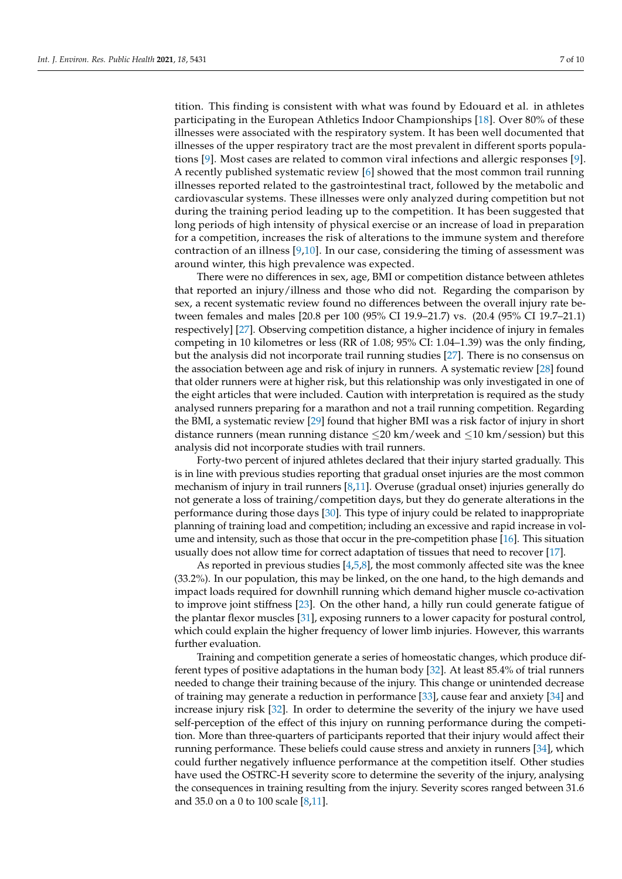tition. This finding is consistent with what was found by Edouard et al. in athletes participating in the European Athletics Indoor Championships [\[18\]](#page-8-17). Over 80% of these illnesses were associated with the respiratory system. It has been well documented that illnesses of the upper respiratory tract are the most prevalent in different sports populations [\[9\]](#page-8-8). Most cases are related to common viral infections and allergic responses [\[9\]](#page-8-8). A recently published systematic review [\[6\]](#page-8-5) showed that the most common trail running illnesses reported related to the gastrointestinal tract, followed by the metabolic and cardiovascular systems. These illnesses were only analyzed during competition but not during the training period leading up to the competition. It has been suggested that long periods of high intensity of physical exercise or an increase of load in preparation for a competition, increases the risk of alterations to the immune system and therefore contraction of an illness  $[9,10]$  $[9,10]$ . In our case, considering the timing of assessment was around winter, this high prevalence was expected.

There were no differences in sex, age, BMI or competition distance between athletes that reported an injury/illness and those who did not. Regarding the comparison by sex, a recent systematic review found no differences between the overall injury rate between females and males [20.8 per 100 (95% CI 19.9–21.7) vs. (20.4 (95% CI 19.7–21.1) respectively] [\[27\]](#page-9-4). Observing competition distance, a higher incidence of injury in females competing in 10 kilometres or less (RR of 1.08; 95% CI: 1.04–1.39) was the only finding, but the analysis did not incorporate trail running studies [\[27\]](#page-9-4). There is no consensus on the association between age and risk of injury in runners. A systematic review [\[28\]](#page-9-5) found that older runners were at higher risk, but this relationship was only investigated in one of the eight articles that were included. Caution with interpretation is required as the study analysed runners preparing for a marathon and not a trail running competition. Regarding the BMI, a systematic review [\[29\]](#page-9-6) found that higher BMI was a risk factor of injury in short distance runners (mean running distance  $\leq$ 20 km/week and  $\leq$ 10 km/session) but this analysis did not incorporate studies with trail runners.

Forty-two percent of injured athletes declared that their injury started gradually. This is in line with previous studies reporting that gradual onset injuries are the most common mechanism of injury in trail runners [\[8,](#page-8-7)[11\]](#page-8-10). Overuse (gradual onset) injuries generally do not generate a loss of training/competition days, but they do generate alterations in the performance during those days [\[30\]](#page-9-7). This type of injury could be related to inappropriate planning of training load and competition; including an excessive and rapid increase in volume and intensity, such as those that occur in the pre-competition phase [\[16\]](#page-8-15). This situation usually does not allow time for correct adaptation of tissues that need to recover [\[17\]](#page-8-16).

As reported in previous studies  $[4,5,8]$  $[4,5,8]$  $[4,5,8]$ , the most commonly affected site was the knee (33.2%). In our population, this may be linked, on the one hand, to the high demands and impact loads required for downhill running which demand higher muscle co-activation to improve joint stiffness [\[23\]](#page-9-0). On the other hand, a hilly run could generate fatigue of the plantar flexor muscles [\[31\]](#page-9-8), exposing runners to a lower capacity for postural control, which could explain the higher frequency of lower limb injuries. However, this warrants further evaluation.

Training and competition generate a series of homeostatic changes, which produce different types of positive adaptations in the human body [\[32\]](#page-9-9). At least 85.4% of trial runners needed to change their training because of the injury. This change or unintended decrease of training may generate a reduction in performance [\[33\]](#page-9-10), cause fear and anxiety [\[34\]](#page-9-11) and increase injury risk [\[32\]](#page-9-9). In order to determine the severity of the injury we have used self-perception of the effect of this injury on running performance during the competition. More than three-quarters of participants reported that their injury would affect their running performance. These beliefs could cause stress and anxiety in runners [\[34\]](#page-9-11), which could further negatively influence performance at the competition itself. Other studies have used the OSTRC-H severity score to determine the severity of the injury, analysing the consequences in training resulting from the injury. Severity scores ranged between 31.6 and 35.0 on a 0 to 100 scale [\[8](#page-8-7)[,11\]](#page-8-10).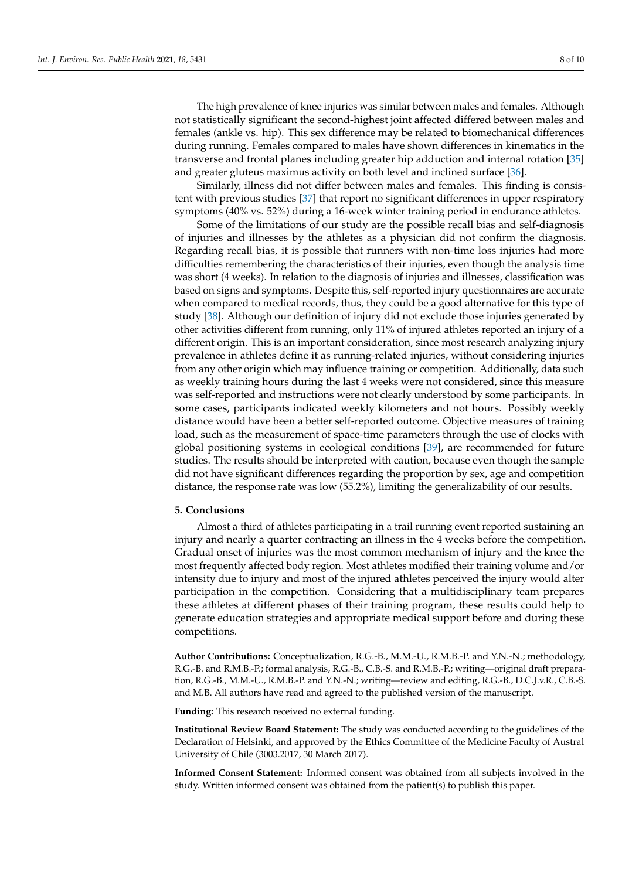The high prevalence of knee injuries was similar between males and females. Although not statistically significant the second-highest joint affected differed between males and females (ankle vs. hip). This sex difference may be related to biomechanical differences during running. Females compared to males have shown differences in kinematics in the transverse and frontal planes including greater hip adduction and internal rotation [\[35\]](#page-9-12) and greater gluteus maximus activity on both level and inclined surface [\[36\]](#page-9-13).

Similarly, illness did not differ between males and females. This finding is consistent with previous studies [\[37\]](#page-9-14) that report no significant differences in upper respiratory symptoms (40% vs. 52%) during a 16-week winter training period in endurance athletes.

Some of the limitations of our study are the possible recall bias and self-diagnosis of injuries and illnesses by the athletes as a physician did not confirm the diagnosis. Regarding recall bias, it is possible that runners with non-time loss injuries had more difficulties remembering the characteristics of their injuries, even though the analysis time was short (4 weeks). In relation to the diagnosis of injuries and illnesses, classification was based on signs and symptoms. Despite this, self-reported injury questionnaires are accurate when compared to medical records, thus, they could be a good alternative for this type of study [\[38\]](#page-9-15). Although our definition of injury did not exclude those injuries generated by other activities different from running, only 11% of injured athletes reported an injury of a different origin. This is an important consideration, since most research analyzing injury prevalence in athletes define it as running-related injuries, without considering injuries from any other origin which may influence training or competition. Additionally, data such as weekly training hours during the last 4 weeks were not considered, since this measure was self-reported and instructions were not clearly understood by some participants. In some cases, participants indicated weekly kilometers and not hours. Possibly weekly distance would have been a better self-reported outcome. Objective measures of training load, such as the measurement of space-time parameters through the use of clocks with global positioning systems in ecological conditions [\[39\]](#page-9-16), are recommended for future studies. The results should be interpreted with caution, because even though the sample did not have significant differences regarding the proportion by sex, age and competition distance, the response rate was low (55.2%), limiting the generalizability of our results.

## **5. Conclusions**

Almost a third of athletes participating in a trail running event reported sustaining an injury and nearly a quarter contracting an illness in the 4 weeks before the competition. Gradual onset of injuries was the most common mechanism of injury and the knee the most frequently affected body region. Most athletes modified their training volume and/or intensity due to injury and most of the injured athletes perceived the injury would alter participation in the competition. Considering that a multidisciplinary team prepares these athletes at different phases of their training program, these results could help to generate education strategies and appropriate medical support before and during these competitions.

**Author Contributions:** Conceptualization, R.G.-B., M.M.-U., R.M.B.-P. and Y.N.-N.; methodology, R.G.-B. and R.M.B.-P.; formal analysis, R.G.-B., C.B.-S. and R.M.B.-P.; writing—original draft preparation, R.G.-B., M.M.-U., R.M.B.-P. and Y.N.-N.; writing—review and editing, R.G.-B., D.C.J.v.R., C.B.-S. and M.B. All authors have read and agreed to the published version of the manuscript.

**Funding:** This research received no external funding.

**Institutional Review Board Statement:** The study was conducted according to the guidelines of the Declaration of Helsinki, and approved by the Ethics Committee of the Medicine Faculty of Austral University of Chile (3003.2017, 30 March 2017).

**Informed Consent Statement:** Informed consent was obtained from all subjects involved in the study. Written informed consent was obtained from the patient(s) to publish this paper.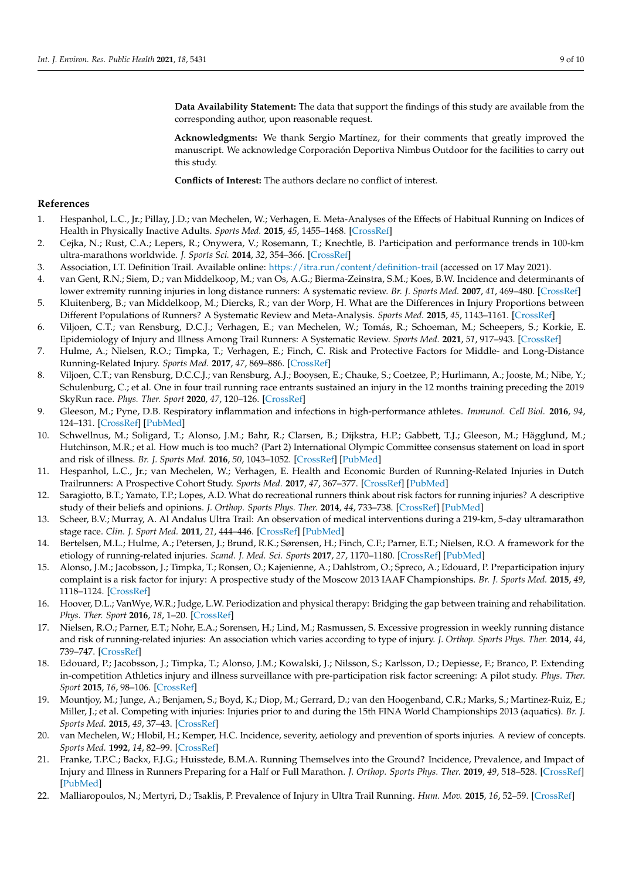**Data Availability Statement:** The data that support the findings of this study are available from the corresponding author, upon reasonable request.

**Acknowledgments:** We thank Sergio Martínez, for their comments that greatly improved the manuscript. We acknowledge Corporación Deportiva Nimbus Outdoor for the facilities to carry out this study.

**Conflicts of Interest:** The authors declare no conflict of interest.

## **References**

- <span id="page-8-0"></span>1. Hespanhol, L.C., Jr.; Pillay, J.D.; van Mechelen, W.; Verhagen, E. Meta-Analyses of the Effects of Habitual Running on Indices of Health in Physically Inactive Adults. *Sports Med.* **2015**, *45*, 1455–1468. [\[CrossRef\]](http://doi.org/10.1007/s40279-015-0359-y)
- <span id="page-8-1"></span>2. Cejka, N.; Rust, C.A.; Lepers, R.; Onywera, V.; Rosemann, T.; Knechtle, B. Participation and performance trends in 100-km ultra-marathons worldwide. *J. Sports Sci.* **2014**, *32*, 354–366. [\[CrossRef\]](http://doi.org/10.1080/02640414.2013.825729)
- <span id="page-8-2"></span>3. Association, I.T. Definition Trail. Available online: <https://itra.run/content/definition-trail> (accessed on 17 May 2021).
- <span id="page-8-3"></span>4. van Gent, R.N.; Siem, D.; van Middelkoop, M.; van Os, A.G.; Bierma-Zeinstra, S.M.; Koes, B.W. Incidence and determinants of lower extremity running injuries in long distance runners: A systematic review. *Br. J. Sports Med.* **2007**, *41*, 469–480. [\[CrossRef\]](http://doi.org/10.1136/bjsm.2006.033548)
- <span id="page-8-4"></span>5. Kluitenberg, B.; van Middelkoop, M.; Diercks, R.; van der Worp, H. What are the Differences in Injury Proportions between Different Populations of Runners? A Systematic Review and Meta-Analysis. *Sports Med.* **2015**, *45*, 1143–1161. [\[CrossRef\]](http://doi.org/10.1007/s40279-015-0331-x)
- <span id="page-8-5"></span>6. Viljoen, C.T.; van Rensburg, D.C.J.; Verhagen, E.; van Mechelen, W.; Tomás, R.; Schoeman, M.; Scheepers, S.; Korkie, E. Epidemiology of Injury and Illness Among Trail Runners: A Systematic Review. *Sports Med.* **2021**, *51*, 917–943. [\[CrossRef\]](http://doi.org/10.1007/s40279-020-01418-1)
- <span id="page-8-6"></span>7. Hulme, A.; Nielsen, R.O.; Timpka, T.; Verhagen, E.; Finch, C. Risk and Protective Factors for Middle- and Long-Distance Running-Related Injury. *Sports Med.* **2017**, *47*, 869–886. [\[CrossRef\]](http://doi.org/10.1007/s40279-016-0636-4)
- <span id="page-8-7"></span>8. Viljoen, C.T.; van Rensburg, D.C.C.J.; van Rensburg, A.J.; Booysen, E.; Chauke, S.; Coetzee, P.; Hurlimann, A.; Jooste, M.; Nibe, Y.; Schulenburg, C.; et al. One in four trail running race entrants sustained an injury in the 12 months training preceding the 2019 SkyRun race. *Phys. Ther. Sport* **2020**, *47*, 120–126. [\[CrossRef\]](http://doi.org/10.1016/j.ptsp.2020.11.029)
- <span id="page-8-8"></span>9. Gleeson, M.; Pyne, D.B. Respiratory inflammation and infections in high-performance athletes. *Immunol. Cell Biol.* **2016**, *94*, 124–131. [\[CrossRef\]](http://doi.org/10.1038/icb.2015.100) [\[PubMed\]](http://www.ncbi.nlm.nih.gov/pubmed/26568028)
- <span id="page-8-9"></span>10. Schwellnus, M.; Soligard, T.; Alonso, J.M.; Bahr, R.; Clarsen, B.; Dijkstra, H.P.; Gabbett, T.J.; Gleeson, M.; Hägglund, M.; Hutchinson, M.R.; et al. How much is too much? (Part 2) International Olympic Committee consensus statement on load in sport and risk of illness. *Br. J. Sports Med.* **2016**, *50*, 1043–1052. [\[CrossRef\]](http://doi.org/10.1136/bjsports-2016-096572) [\[PubMed\]](http://www.ncbi.nlm.nih.gov/pubmed/27535991)
- <span id="page-8-10"></span>11. Hespanhol, L.C., Jr.; van Mechelen, W.; Verhagen, E. Health and Economic Burden of Running-Related Injuries in Dutch Trailrunners: A Prospective Cohort Study. *Sports Med.* **2017**, *47*, 367–377. [\[CrossRef\]](http://doi.org/10.1007/s40279-016-0551-8) [\[PubMed\]](http://www.ncbi.nlm.nih.gov/pubmed/27222128)
- <span id="page-8-11"></span>12. Saragiotto, B.T.; Yamato, T.P.; Lopes, A.D. What do recreational runners think about risk factors for running injuries? A descriptive study of their beliefs and opinions. *J. Orthop. Sports Phys. Ther.* **2014**, *44*, 733–738. [\[CrossRef\]](http://doi.org/10.2519/jospt.2014.5710) [\[PubMed\]](http://www.ncbi.nlm.nih.gov/pubmed/25155860)
- <span id="page-8-12"></span>13. Scheer, B.V.; Murray, A. Al Andalus Ultra Trail: An observation of medical interventions during a 219-km, 5-day ultramarathon stage race. *Clin. J. Sport Med.* **2011**, *21*, 444–446. [\[CrossRef\]](http://doi.org/10.1097/JSM.0b013e318225b0df) [\[PubMed\]](http://www.ncbi.nlm.nih.gov/pubmed/21860348)
- <span id="page-8-13"></span>14. Bertelsen, M.L.; Hulme, A.; Petersen, J.; Brund, R.K.; Sørensen, H.; Finch, C.F.; Parner, E.T.; Nielsen, R.O. A framework for the etiology of running-related injuries. *Scand. J. Med. Sci. Sports* **2017**, *27*, 1170–1180. [\[CrossRef\]](http://doi.org/10.1111/sms.12883) [\[PubMed\]](http://www.ncbi.nlm.nih.gov/pubmed/28329441)
- <span id="page-8-14"></span>15. Alonso, J.M.; Jacobsson, J.; Timpka, T.; Ronsen, O.; Kajenienne, A.; Dahlstrom, O.; Spreco, A.; Edouard, P. Preparticipation injury complaint is a risk factor for injury: A prospective study of the Moscow 2013 IAAF Championships. *Br. J. Sports Med.* **2015**, *49*, 1118–1124. [\[CrossRef\]](http://doi.org/10.1136/bjsports-2014-094359)
- <span id="page-8-15"></span>16. Hoover, D.L.; VanWye, W.R.; Judge, L.W. Periodization and physical therapy: Bridging the gap between training and rehabilitation. *Phys. Ther. Sport* **2016**, *18*, 1–20. [\[CrossRef\]](http://doi.org/10.1016/j.ptsp.2015.08.003)
- <span id="page-8-16"></span>17. Nielsen, R.O.; Parner, E.T.; Nohr, E.A.; Sorensen, H.; Lind, M.; Rasmussen, S. Excessive progression in weekly running distance and risk of running-related injuries: An association which varies according to type of injury. *J. Orthop. Sports Phys. Ther.* **2014**, *44*, 739–747. [\[CrossRef\]](http://doi.org/10.2519/jospt.2014.5164)
- <span id="page-8-17"></span>18. Edouard, P.; Jacobsson, J.; Timpka, T.; Alonso, J.M.; Kowalski, J.; Nilsson, S.; Karlsson, D.; Depiesse, F.; Branco, P. Extending in-competition Athletics injury and illness surveillance with pre-participation risk factor screening: A pilot study. *Phys. Ther. Sport* **2015**, *16*, 98–106. [\[CrossRef\]](http://doi.org/10.1016/j.ptsp.2014.05.003)
- <span id="page-8-18"></span>19. Mountjoy, M.; Junge, A.; Benjamen, S.; Boyd, K.; Diop, M.; Gerrard, D.; van den Hoogenband, C.R.; Marks, S.; Martinez-Ruiz, E.; Miller, J.; et al. Competing with injuries: Injuries prior to and during the 15th FINA World Championships 2013 (aquatics). *Br. J. Sports Med.* **2015**, *49*, 37–43. [\[CrossRef\]](http://doi.org/10.1136/bjsports-2014-093991)
- <span id="page-8-19"></span>20. van Mechelen, W.; Hlobil, H.; Kemper, H.C. Incidence, severity, aetiology and prevention of sports injuries. A review of concepts. *Sports Med.* **1992**, *14*, 82–99. [\[CrossRef\]](http://doi.org/10.2165/00007256-199214020-00002)
- <span id="page-8-20"></span>21. Franke, T.P.C.; Backx, F.J.G.; Huisstede, B.M.A. Running Themselves into the Ground? Incidence, Prevalence, and Impact of Injury and Illness in Runners Preparing for a Half or Full Marathon. *J. Orthop. Sports Phys. Ther.* **2019**, *49*, 518–528. [\[CrossRef\]](http://doi.org/10.2519/jospt.2019.8473) [\[PubMed\]](http://www.ncbi.nlm.nih.gov/pubmed/31213161)
- <span id="page-8-21"></span>22. Malliaropoulos, N.; Mertyri, D.; Tsaklis, P. Prevalence of Injury in Ultra Trail Running. *Hum. Mov.* **2015**, *16*, 52–59. [\[CrossRef\]](http://doi.org/10.1515/humo-2015-0026)